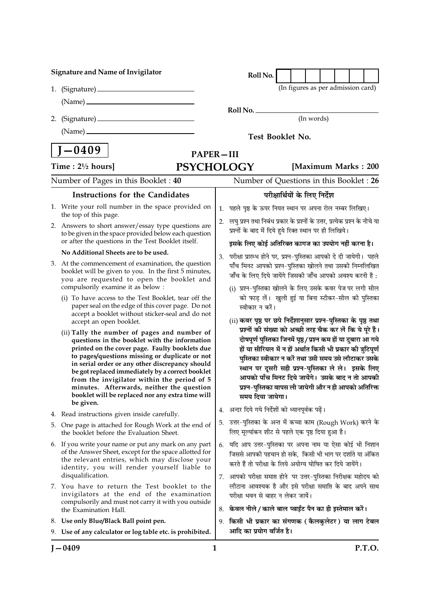| <b>Signature and Name of Invigilator</b> |                                                                                                                                                                                                                                       |                                    | Roll No.                                                                                                                                                                                                                                                     |                               |  |            |  |  |  |                     |
|------------------------------------------|---------------------------------------------------------------------------------------------------------------------------------------------------------------------------------------------------------------------------------------|------------------------------------|--------------------------------------------------------------------------------------------------------------------------------------------------------------------------------------------------------------------------------------------------------------|-------------------------------|--|------------|--|--|--|---------------------|
|                                          |                                                                                                                                                                                                                                       | (In figures as per admission card) |                                                                                                                                                                                                                                                              |                               |  |            |  |  |  |                     |
|                                          |                                                                                                                                                                                                                                       |                                    |                                                                                                                                                                                                                                                              |                               |  |            |  |  |  |                     |
|                                          |                                                                                                                                                                                                                                       |                                    | Roll No. _                                                                                                                                                                                                                                                   |                               |  |            |  |  |  |                     |
|                                          |                                                                                                                                                                                                                                       |                                    |                                                                                                                                                                                                                                                              |                               |  | (In words) |  |  |  |                     |
|                                          |                                                                                                                                                                                                                                       |                                    | Test Booklet No.                                                                                                                                                                                                                                             |                               |  |            |  |  |  |                     |
|                                          | $ I - 0409$                                                                                                                                                                                                                           |                                    |                                                                                                                                                                                                                                                              |                               |  |            |  |  |  |                     |
|                                          | <b>PAPER-III</b><br><b>PSYCHOLOGY</b><br>Time: $2\frac{1}{2}$ hours]                                                                                                                                                                  |                                    |                                                                                                                                                                                                                                                              |                               |  |            |  |  |  |                     |
|                                          |                                                                                                                                                                                                                                       |                                    |                                                                                                                                                                                                                                                              |                               |  |            |  |  |  | [Maximum Marks: 200 |
|                                          | Number of Pages in this Booklet: 40                                                                                                                                                                                                   |                                    | Number of Questions in this Booklet: 26                                                                                                                                                                                                                      |                               |  |            |  |  |  |                     |
|                                          | <b>Instructions for the Candidates</b>                                                                                                                                                                                                |                                    |                                                                                                                                                                                                                                                              | परीक्षार्थियों के लिए निर्देश |  |            |  |  |  |                     |
|                                          | 1. Write your roll number in the space provided on<br>the top of this page.                                                                                                                                                           |                                    | 1. पहले पृष्ठ के ऊपर नियत स्थान पर अपना रोल नम्बर लिखिए।                                                                                                                                                                                                     |                               |  |            |  |  |  |                     |
|                                          | 2. Answers to short answer/essay type questions are                                                                                                                                                                                   |                                    | लघु प्रश्न तथा निबंध प्रकार के प्रश्नों के उत्तर, प्रत्येक प्रश्न के नीचे या<br>2.                                                                                                                                                                           |                               |  |            |  |  |  |                     |
|                                          | to be given in the space provided below each question<br>or after the questions in the Test Booklet itself.                                                                                                                           |                                    | प्रश्नों के बाद में दिये हुये रिक्त स्थान पर ही लिखिये।<br>इसके लिए कोई अतिरिक्त कागज का उपयोग नहीं करना है।                                                                                                                                                 |                               |  |            |  |  |  |                     |
|                                          | No Additional Sheets are to be used.                                                                                                                                                                                                  |                                    |                                                                                                                                                                                                                                                              |                               |  |            |  |  |  |                     |
|                                          | 3. At the commencement of examination, the question                                                                                                                                                                                   |                                    | परीक्षा प्रारम्भ होने पर, प्रश्न–पुस्तिका आपको दे दी जायेगी।  पहले<br>3.<br>पाँच मिनट आपको प्रश्न-पुस्तिका खोलने तथा उसकी निम्नलिखित<br>जाँच के लिए दिये जायेंगे जिसकी जाँच आपको अवश्य करनी है :<br>(i) प्रश्न-पुस्तिका खोलने के लिए उसके कवर पेज पर लगी सील |                               |  |            |  |  |  |                     |
|                                          | booklet will be given to you. In the first 5 minutes,<br>you are requested to open the booklet and                                                                                                                                    |                                    |                                                                                                                                                                                                                                                              |                               |  |            |  |  |  |                     |
|                                          | compulsorily examine it as below :                                                                                                                                                                                                    |                                    |                                                                                                                                                                                                                                                              |                               |  |            |  |  |  |                     |
|                                          | (i) To have access to the Test Booklet, tear off the<br>paper seal on the edge of this cover page. Do not                                                                                                                             |                                    | को फाड़ लें।  खुली हुई या बिना स्टीकर-सील की पुस्तिका<br>स्वीकार न करें।                                                                                                                                                                                     |                               |  |            |  |  |  |                     |
|                                          | accept a booklet without sticker-seal and do not                                                                                                                                                                                      |                                    | (ii) कवर पृष्ठ पर छपे निर्देशानुसार प्रश्न-पुस्तिका के पृष्ठ तथा<br>प्रश्नों की संख्या को अच्छी तरह चैक कर लें कि ये पूरे हैं।                                                                                                                               |                               |  |            |  |  |  |                     |
|                                          | accept an open booklet.                                                                                                                                                                                                               |                                    |                                                                                                                                                                                                                                                              |                               |  |            |  |  |  |                     |
|                                          | (ii) Tally the number of pages and number of<br>questions in the booklet with the information                                                                                                                                         |                                    | दोषपूर्ण पुस्तिका जिनमें पृष्ठ/प्रश्न कम हों या दुबारा आ गये                                                                                                                                                                                                 |                               |  |            |  |  |  |                     |
|                                          | printed on the cover page. Faulty booklets due<br>to pages/questions missing or duplicate or not                                                                                                                                      |                                    | हों या सीरियल में न हों अर्थात किसी भी प्रकार की त्रुटिपूर्ण<br>पुस्तिका स्वीकार न करें तथा उसी समय उसे लौटाकर उसके<br>स्थान पर दूसरी सही प्रश्न-पुस्तिका ले ले। इसके लिए                                                                                    |                               |  |            |  |  |  |                     |
|                                          | in serial order or any other discrepancy should                                                                                                                                                                                       |                                    |                                                                                                                                                                                                                                                              |                               |  |            |  |  |  |                     |
|                                          | be got replaced immediately by a correct booklet<br>from the invigilator within the period of 5                                                                                                                                       |                                    | आपको पाँच मिनट दिये जायेंगे। उसके बाद न तो आपकी                                                                                                                                                                                                              |                               |  |            |  |  |  |                     |
|                                          | minutes. Afterwards, neither the question<br>booklet will be replaced nor any extra time will<br>be given.                                                                                                                            |                                    | प्रश्न-पुस्तिका वापस ली जायेगी और न ही आपको अतिरिक्त                                                                                                                                                                                                         |                               |  |            |  |  |  |                     |
|                                          |                                                                                                                                                                                                                                       |                                    | समय दिया जायेगा।                                                                                                                                                                                                                                             |                               |  |            |  |  |  |                     |
|                                          | 4. Read instructions given inside carefully.                                                                                                                                                                                          |                                    | 4. अन्दर दिये गये निर्देशों को ध्यानपूर्वक पढ़ें।                                                                                                                                                                                                            |                               |  |            |  |  |  |                     |
|                                          | 5. One page is attached for Rough Work at the end of<br>the booklet before the Evaluation Sheet.                                                                                                                                      |                                    | 5.  उत्तर-पुस्तिका के अन्त में कच्चा काम (Rough Work) करने के<br>लिए मूल्यांकन शीट से पहले एक पृष्ठ दिया हुआ है।                                                                                                                                             |                               |  |            |  |  |  |                     |
|                                          | 6. If you write your name or put any mark on any part<br>of the Answer Sheet, except for the space allotted for<br>the relevant entries, which may disclose your<br>identity, you will render yourself liable to<br>disqualification. |                                    | 6. यदि आप उत्तर-पुस्तिका पर अपना नाम या ऐसा कोई भी निशान                                                                                                                                                                                                     |                               |  |            |  |  |  |                     |
|                                          |                                                                                                                                                                                                                                       |                                    | जिससे आपकी पहचान हो सके,  किसी भी भाग पर दर्शाते या अंकित<br>करते हैं तो परीक्षा के लिये अयोग्य घोषित कर दिये जायेंगे।                                                                                                                                       |                               |  |            |  |  |  |                     |
|                                          |                                                                                                                                                                                                                                       |                                    | 7. आपको परीक्षा समाप्त होने पर उत्तर-पुस्तिका निरीक्षक महोदय को                                                                                                                                                                                              |                               |  |            |  |  |  |                     |
|                                          | 7. You have to return the Test booklet to the<br>invigilators at the end of the examination<br>compulsorily and must not carry it with you outside                                                                                    |                                    | लौटाना आवश्यक है और इसे परीक्षा समाप्ति के बाद अपने साथ                                                                                                                                                                                                      |                               |  |            |  |  |  |                     |
|                                          |                                                                                                                                                                                                                                       | परीक्षा भवन से बाहर न लेकर जायें।  |                                                                                                                                                                                                                                                              |                               |  |            |  |  |  |                     |
|                                          | the Examination Hall.                                                                                                                                                                                                                 |                                    | 8. केवल नीले / काले बाल प्वाईंट पैन का ही इस्तेमाल करें।                                                                                                                                                                                                     |                               |  |            |  |  |  |                     |
|                                          | 8. Use only Blue/Black Ball point pen.                                                                                                                                                                                                |                                    | 9.  किसी भी प्रकार का संगणक ( कैलकुलेटर ) या लाग टेबल                                                                                                                                                                                                        |                               |  |            |  |  |  |                     |
|                                          | 9. Use of any calculator or log table etc. is prohibited.                                                                                                                                                                             |                                    | आदि का प्रयोग वर्जित है।                                                                                                                                                                                                                                     |                               |  |            |  |  |  |                     |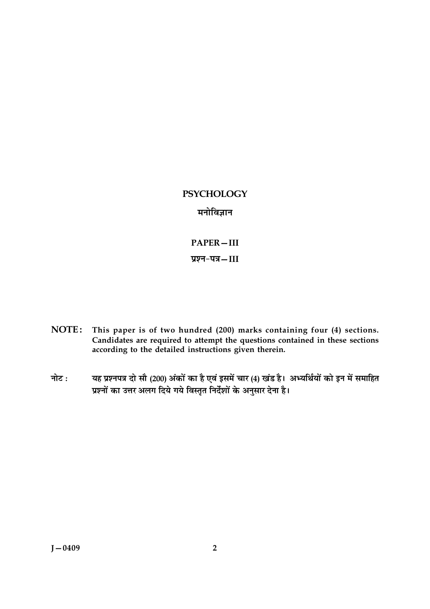# **PSYCHOLOGY** मनोविज्ञान

**PAPER-III** प्रश्न-पत्र-III

- NOTE: This paper is of two hundred (200) marks containing four (4) sections. Candidates are required to attempt the questions contained in these sections according to the detailed instructions given therein.
- यह प्रश्नपत्र दो सौ (200) अंकों का है एवं इसमें चार (4) खंड है। अभ्यर्थियों को इन में समाहित नोट $:$ प्रश्नों का उत्तर अलग दिये गये विस्तृत निर्देशों के अनुसार देना है।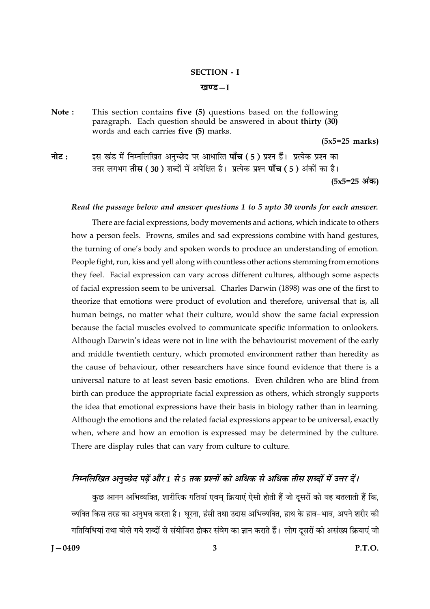#### **SECTION - I**

#### खण्ड – 1

Note: This section contains five (5) questions based on the following paragraph. Each question should be answered in about thirty (30) words and each carries five (5) marks.

 $(5x5=25 \text{ marks})$ 

इस खंड में निम्नलिखित अनुच्छेद पर आधारित **पाँच (5)** प्रश्न हैं। प्रत्येक प्रश्न का नोट $\cdot$ उत्तर लगभग **तीस ( 30 )** शब्दों में अपेक्षित है। प्रत्येक प्रश्न **पाँच ( 5 )** अंकों का है।  $(5x5=25 \text{ 3} \cdot \text{5})$ 

#### Read the passage below and answer questions 1 to 5 upto 30 words for each answer.

There are facial expressions, body movements and actions, which indicate to others how a person feels. Frowns, smiles and sad expressions combine with hand gestures, the turning of one's body and spoken words to produce an understanding of emotion. People fight, run, kiss and yell along with countless other actions stemming from emotions they feel. Facial expression can vary across different cultures, although some aspects of facial expression seem to be universal. Charles Darwin (1898) was one of the first to theorize that emotions were product of evolution and therefore, universal that is, all human beings, no matter what their culture, would show the same facial expression because the facial muscles evolved to communicate specific information to onlookers. Although Darwin's ideas were not in line with the behaviourist movement of the early and middle twentieth century, which promoted environment rather than heredity as the cause of behaviour, other researchers have since found evidence that there is a universal nature to at least seven basic emotions. Even children who are blind from birth can produce the appropriate facial expression as others, which strongly supports the idea that emotional expressions have their basis in biology rather than in learning. Although the emotions and the related facial expressions appear to be universal, exactly when, where and how an emotion is expressed may be determined by the culture. There are display rules that can vary from culture to culture.

# निम्नलिखित अनच्छेद पढें और 1 से 5 तक प्रश्नों को अधिक से अधिक तीस शब्दों में उत्तर दें।

कुछ आनन अभिव्यक्ति, शारीरिक गतियां एवम् क्रियाएं ऐसी होती हैं जो दूसरों को यह बतलाती हैं कि, व्यक्ति किस तरह का अनुभव करता है। घुरना, हंसी तथा उदास अभिव्यक्ति, हाथ के हाव–भाव, अपने शरीर की गतिविधियां तथा बोले गये शब्दों से संयोजित होकर संवेग का ज्ञान कराते हैं। लोग दुसरों की असंख्य क्रियाएं जो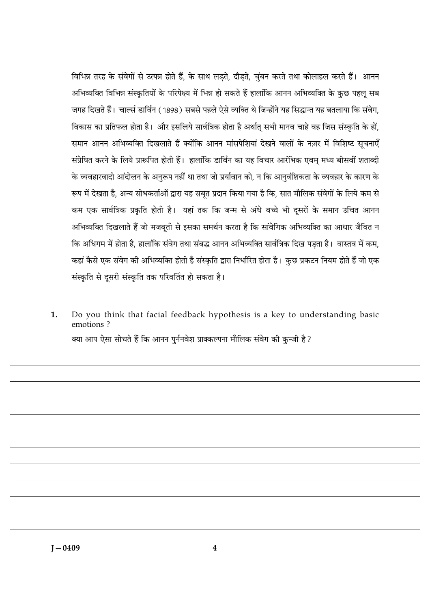विभिन्न तरह के संवेगों से उत्पन्न होते हैं, के साथ लडते, दौडते, चुंबन करते तथा कोलाहल करते हैं। आनन अभिव्यक्ति विभिन्न संस्कृतियों के परिपेक्ष्य में भिन्न हो सकते हैं हालांकि आनन अभिव्यक्ति के कुछ पहलु सब जगह दिखते हैं। चार्ल्स डार्विन ( 1898 ) सबसे पहले ऐसे व्यक्ति थे जिन्होंने यह सिद्धान्त यह बतलाया कि संवेग, विकास का प्रतिफल होता है। और इसलिये सार्वत्रिक होता है अर्थात् सभी मानव चाहे वह जिस संस्कृति के हों, समान आनन अभिव्यक्ति दिखलाते हैं क्योंकि आनन मांसपेशियां देखने वालों के नज़र में विशिष्ट सूचनाएँ संप्रेषित करने के लिये प्रारूपित होती हैं। हालांकि डार्विन का यह विचार आरंभिक एवम मध्य बीसवीं शताब्दी के व्यवहारवादी आंदोलन के अनुरूप नहीं था तथा जो प्रर्यावान को, न कि आनुवंशिकता के व्यवहार के कारण के रूप में देखता है, अन्य सोधकर्ताओं द्वारा यह सबत प्रदान किया गया है कि, सात मौलिक संवेगों के लिये कम से कम एक सार्वत्रिक प्रकृति होती है। यहां तक कि जन्म से अंधे बच्चे भी दूसरों के समान उचित आनन अभिव्यक्ति दिखलाते हैं जो मजबूती से इसका समर्थन करता है कि सांवेगिक अभिव्यक्ति का आधार जैवित न कि अधिगम में होता है, हालांकि संवेग तथा संबद्ध आनन अभिव्यक्ति सार्वत्रिक दिख पडता है। वास्तव में कम, कहां कैसे एक संवेग की अभिव्यक्ति होती है संस्कृति द्वारा निर्धारित होता है। कुछ प्रकटन नियम होते हैं जो एक संस्कृति से दूसरी संस्कृति तक परिवर्तित हो सकता है।

 $\mathbf{1}$ . Do you think that facial feedback hypothesis is a key to understanding basic emotions? क्या आप ऐसा सोचते हैं कि आनन पुर्ननवेश प्राक्कल्पना मौलिक संवेग की कुन्जी है ?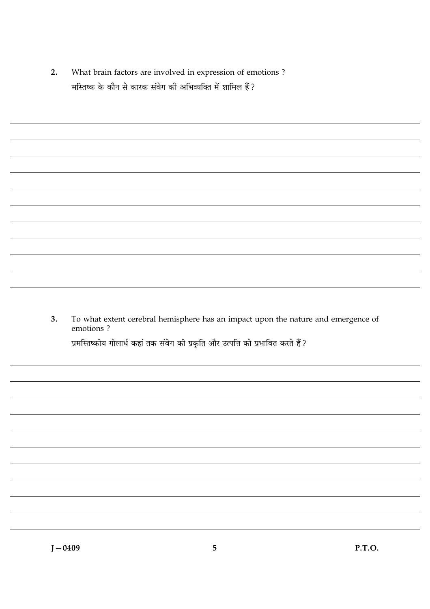What brain factors are involved in expression of emotions?  $2.$ मस्तिष्क के कौन से कारक संवेग की अभिव्यक्ति में शामिल हैं ?

To what extent cerebral hemisphere has an impact upon the nature and emergence of  $3.$ emotions?

प्रमस्तिष्कीय गोलार्ध कहां तक संवेग की प्रकृति और उत्पत्ति को प्रभावित करते हैं ?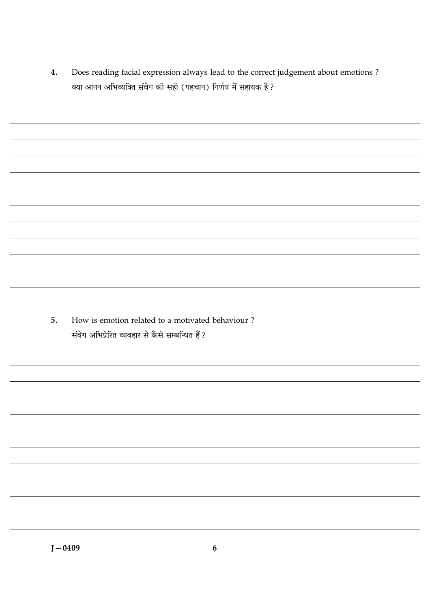Does reading facial expression always lead to the correct judgement about emotions?  $4.$ क्या आनन अभिव्यक्ति संवेग की सही (पहचान) निर्णय में सहायक है?

5. How is emotion related to a motivated behaviour? संवेग अभिप्रेरित व्यवहार से कैसे सम्बन्धित हैं ?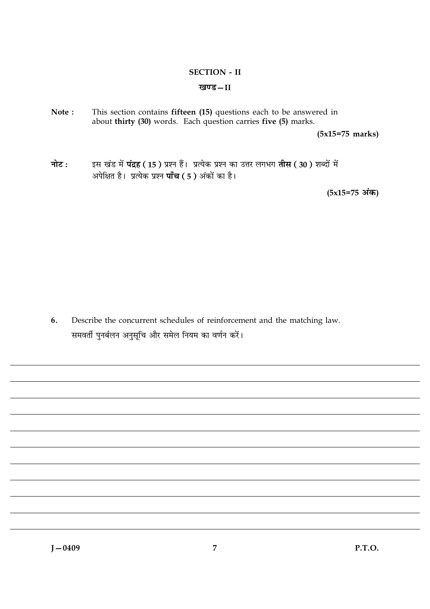## **SECTION - II**

#### खण्ड $-II$

Note: This section contains fifteen (15) questions each to be answered in about thirty (30) words. Each question carries five (5) marks.

 $(5x15=75 \text{ marks})$ 

इस खंड में **पंदह (15 )** प्रश्न हैं। प्रत्येक प्रश्न का उत्तर लगभग **तीस ( 30 )** शब्दों में नोट $\cdot$ अपेक्षित है। प्रत्येक प्रश्न **पाँच ( 5 )** अंकों का है।

 $(5x15=75 \text{ 3} \cdot \text{3})$ 

Describe the concurrent schedules of reinforcement and the matching law. 6. समवर्ती पुनर्बलन अनुसूचि और समेल नियम का वर्णन करें।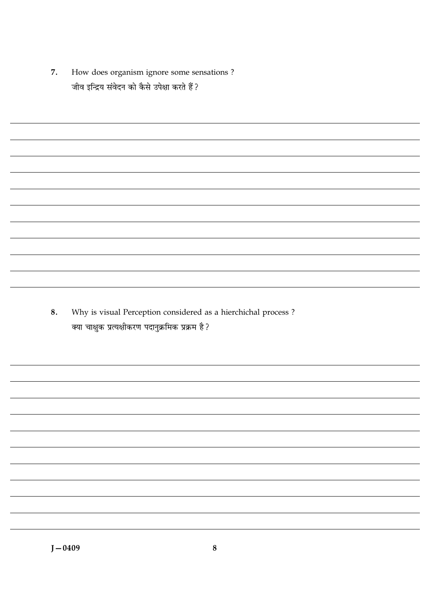How does organism ignore some sensations? 7. जीव इन्द्रिय संवेदन को कैसे उपेक्षा करते हैं ?

Why is visual Perception considered as a hierchichal process? 8. क्या चाक्षुक प्रत्यक्षीकरण पदानुक्रमिक प्रक्रम है?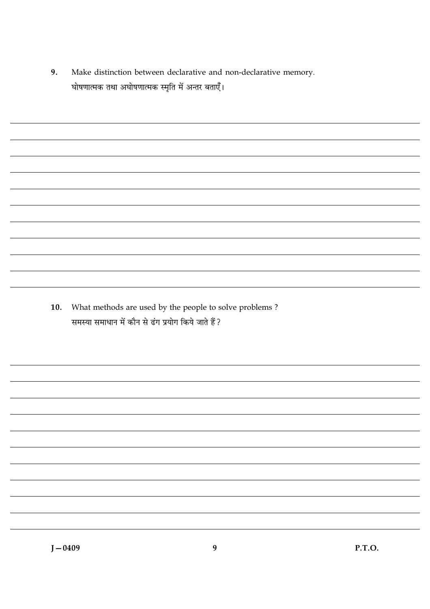Make distinction between declarative and non-declarative memory. 9. घोषणात्मक तथा अघोषणात्मक स्मृति में अन्तर बताएँ।

10. What methods are used by the people to solve problems? समस्या समाधान में कौन से ढंग प्रयोग किये जाते हैं ?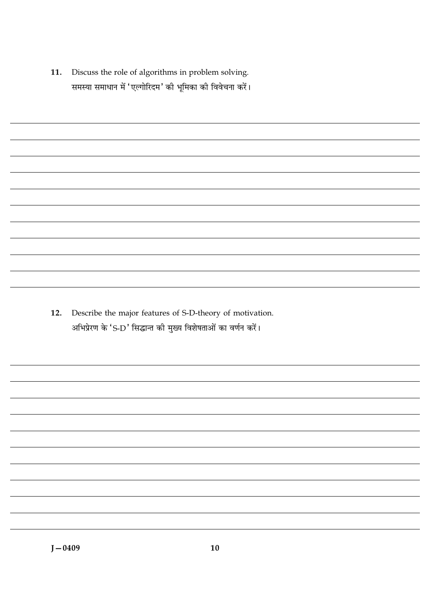Discuss the role of algorithms in problem solving. 11. समस्या समाधान में 'एल्गोरिदम' की भूमिका की विवेचना करें।

12. Describe the major features of S-D-theory of motivation. अभिप्रेरण के 'S-D' सिद्धान्त की मुख्य विशेषताओं का वर्णन करें।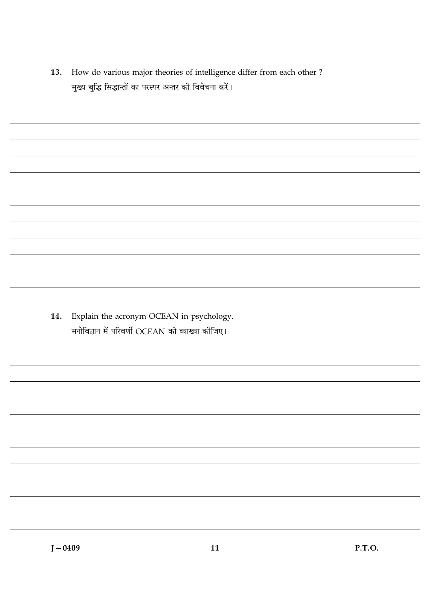13. How do various major theories of intelligence differ from each other? मुख्य बुद्धि सिद्धान्तों का परस्पर अन्तर की विवेचना करें।

Explain the acronym OCEAN in psychology. 14. मनोविज्ञान में परिवर्णी OCEAN की व्याख्या कीजिए।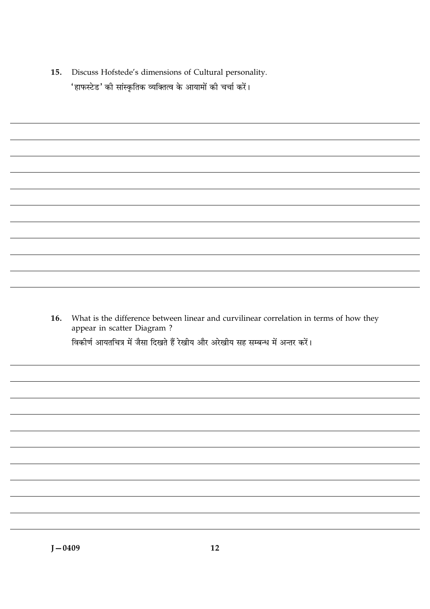15. Discuss Hofstede's dimensions of Cultural personality. 'हाफस्टेड' की सांस्कृतिक व्यक्तित्व के आयामों की चर्चा करें।

What is the difference between linear and curvilinear correlation in terms of how they 16. appear in scatter Diagram?

विकीर्ण आयतचित्र में जैसा दिखते हैं रेखीय और अरेखीय सह सम्बन्ध में अन्तर करें।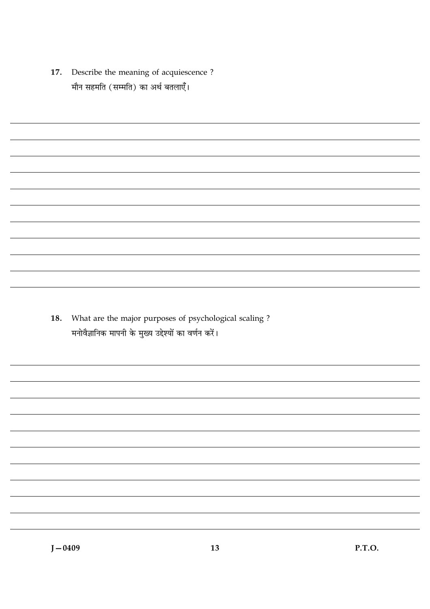17. Describe the meaning of acquiescence? मौन सहमति (सम्मति) का अर्थ बतलाएँ।

18. What are the major purposes of psychological scaling? मनोवैज्ञानिक मापनी के मुख्य उद्देश्यों का वर्णन करें।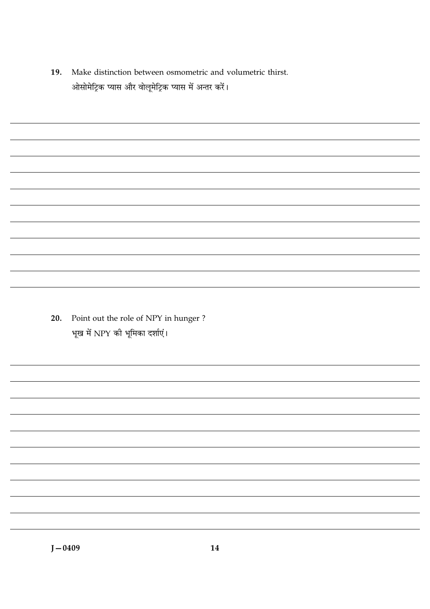19. Make distinction between osmometric and volumetric thirst. ओसोमेट्रिक प्यास और वोलूमेट्रिक प्यास में अन्तर करें।

Point out the role of NPY in hunger? 20. भूख में NPY की भूमिका दर्शाएं।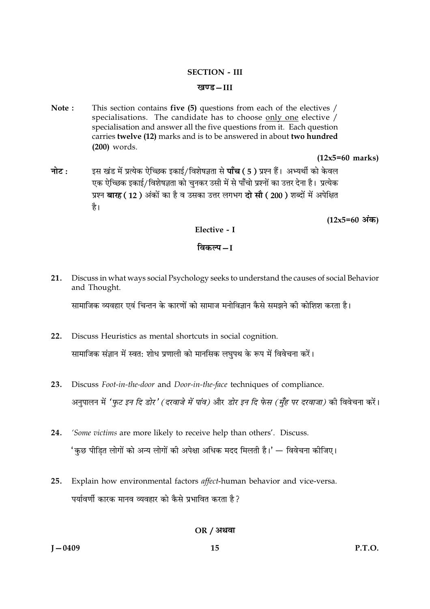#### **SECTION - III**

### खण्ड-III

Note: This section contains five (5) questions from each of the electives / specialisations. The candidate has to choose only one elective / specialisation and answer all the five questions from it. Each question carries twelve (12) marks and is to be answered in about two hundred  $(200)$  words.

 $(12x5=60 \text{ marks})$ 

इस खंड में प्रत्येक ऐच्छिक इकाई/विशेषज्ञता से **पाँच ( 5 )** प्रश्न हैं। अभ्यर्थी को केवल नोट $:$ एक ऐच्छिक इकाई/विशेषज्ञता को चुनकर उसी में से पाँचो प्रश्नों का उत्तर देना है। प्रत्येक प्रश्न **बारह ( 12 )** अंकों का है व उसका उत्तर लगभग **दो सौ ( 200 )** शब्दों में अपेक्षित है।

 $(12x5=60$  अंक)

Elective - I

विकल्प – <u>ा</u>

21. Discuss in what ways social Psychology seeks to understand the causes of social Behavior and Thought.

सामाजिक व्यवहार एवं चिन्तन के कारणों को सामाज मनोविज्ञान कैसे समझने की कोशिश करता है।

- $22.$ Discuss Heuristics as mental shortcuts in social cognition. सामाजिक संज्ञान में स्वत: शोध प्रणाली को मानसिक लघुपथ के रूप में विवेचना करें।
- 23. Discuss Foot-in-the-door and Door-in-the-face techniques of compliance. अनुपालन में *'फुट इन दि डोर' (दरवाजे में पांव)* और *डोर इन दि फेस (मुँह पर दरवाजा)* की विवेचना करें।
- 24. 'Some victims are more likely to receive help than others'. Discuss. 'कछ पीडि़त लोगों को अन्य लोगों की अपेक्षा अधिक मदद मिलती है।' — विवेचना कीजिए।
- Explain how environmental factors affect-human behavior and vice-versa. 25. पर्यावर्णी कारक मानव व्यवहार को कैसे प्रभावित करता है?

**OR / अथवा** 

 $I - 0409$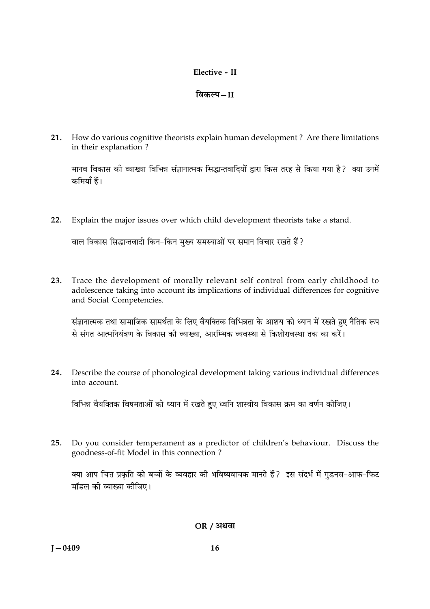# Elective - II

# विकल्प–II

21. How do various cognitive theorists explain human development? Are there limitations in their explanation?

मानव विकास को व्याख्या विभिन्न संज्ञानात्मक सिद्धान्तवादियों द्वारा किस तरह से किया गया है? क्या उनमें कमियाँ हैं।

 $22.$ Explain the major issues over which child development theorists take a stand.

बाल विकास सिद्धान्तवादी किन–किन मुख्य समस्याओं पर समान विचार रखते हैं ?

23. Trace the development of morally relevant self control from early childhood to adolescence taking into account its implications of individual differences for cognitive and Social Competencies.

संज्ञानात्मक तथा सामाजिक सामर्थता के लिए वैयक्तिक विभिन्नता के आशय को ध्यान में रखते हुए नैतिक रूप से संगत आत्मनियंत्रण के विकास की व्याख्या. आरम्भिक व्यवस्था से किशोरावस्था तक का करें।

Describe the course of phonological development taking various individual differences 24. into account.

विभिन्न वैयक्तिक विषमताओं को ध्यान में रखते हुए ध्वनि शास्त्रीय विकास क्रम का वर्णन कीजिए।

25. Do you consider temperament as a predictor of children's behaviour. Discuss the goodness-of-fit Model in this connection?

क्या आप चित्त प्रकृति को बच्चों के व्यवहार की भविष्यवाचक मानते हैं? इस संदर्भ में गुडनस-आफ-फिट मॉडल की व्याख्या कीजिए।

**OR / अथवा** 

 $I - 0409$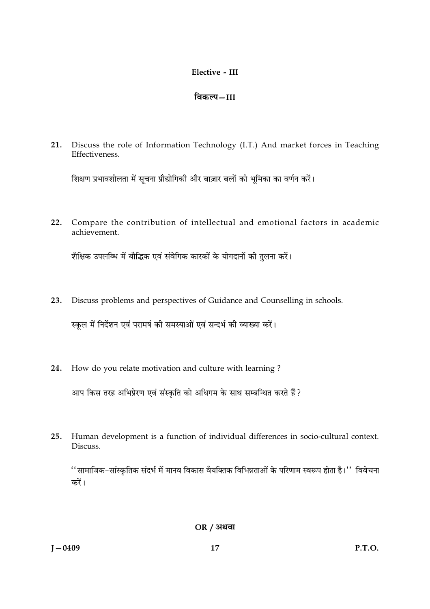# Elective - III

# विकल्प–III

21. Discuss the role of Information Technology (I.T.) And market forces in Teaching Effectiveness.

शिक्षण प्रभावशीलता में सूचना प्रौद्योगिकी और बाज़ार बलों की भूमिका का वर्णन करें।

22. Compare the contribution of intellectual and emotional factors in academic achievement.

शैक्षिक उपलब्धि में बौद्धिक एवं संवेगिक कारकों के योगदानों की तुलना करें।

23. Discuss problems and perspectives of Guidance and Counselling in schools.

स्कूल में निर्देशन एवं परामर्ष की समस्याओं एवं सन्दर्भ की व्याख्या करें।

24. How do you relate motivation and culture with learning?

आप किस तरह अभिप्रेरण एवं संस्कृति को अधिगम के साथ सम्बन्धित करते हैं ?

25. Human development is a function of individual differences in socio-cultural context. Discuss.

''सामाजिक–सांस्कृतिक संदर्भ में मानव विकास वैयक्तिक विभिन्नताओं के परिणाम स्वरूप होता है।'' विवेचना करें।

**OR / अथवा**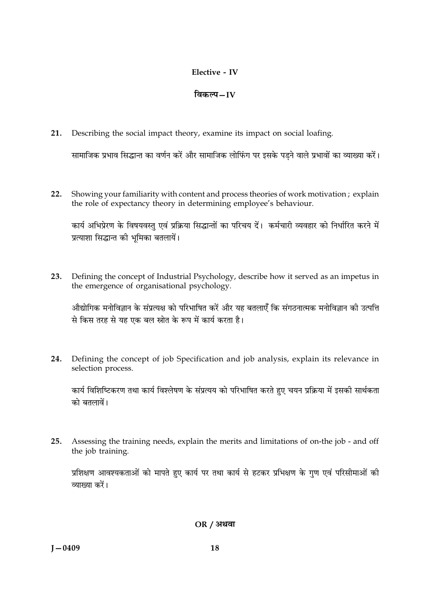# Elective - IV

# विकल्प $-IV$

Describing the social impact theory, examine its impact on social loafing.  $21.$ 

सामाजिक प्रभाव सिद्धान्त का वर्णन करें और सामाजिक लोफिंग पर इसके पडने वाले प्रभावों का व्याख्या करें।

22. Showing your familiarity with content and process theories of work motivation; explain the role of expectancy theory in determining employee's behaviour.

कार्य अभिप्रेरण के विषयवस्तु एवं प्रक्रिया सिद्धान्तों का परिचय दें। कर्मचारी व्यवहार को निर्धारित करने में प्रत्याशा सिद्धान्त की भूमिका बतलायें।

 $23.$ Defining the concept of Industrial Psychology, describe how it served as an impetus in the emergence of organisational psychology.

औद्योगिक मनोविज्ञान के संप्रत्यक्ष को परिभाषित करें और यह बतलाएँ कि संगठनात्मक मनोविज्ञान की उत्पत्ति से किस तरह से यह एक बल स्रोत के रूप में कार्य करता है।

24. Defining the concept of job Specification and job analysis, explain its relevance in selection process.

कार्य विशिष्टिकरण तथा कार्य विश्लेषण के संप्रत्यय को परिभाषित करते हुए चयन प्रक्रिया में इसकी सार्थकता को बतलावें।

25. Assessing the training needs, explain the merits and limitations of on-the job - and off the job training.

प्रशिक्षण आवश्यकताओं को मापते हुए कार्य पर तथा कार्य से हटकर प्रभिक्षण के गुण एवं परिसीमाओं की व्याख्या करें।

**OR / अथवा**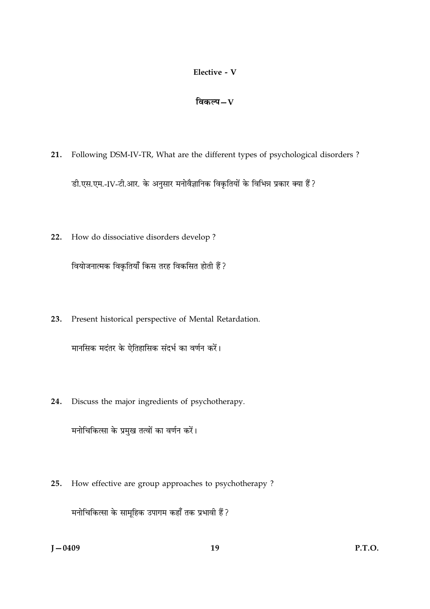# Elective - V

# विकल्प $-V$

- $21.$ Following DSM-IV-TR, What are the different types of psychological disorders ? डी.एस.एम.-IV-टी.आर. के अनुसार मनोवैज्ञानिक विकृतियों के विभिन्न प्रकार क्या हैं?
- How do dissociative disorders develop?  $22.$

वियोजनात्मक विकृतियाँ किस तरह विकसित होती हैं?

Present historical perspective of Mental Retardation. 23.

मानसिक मदंतर के ऐतिहासिक संदर्भ का वर्णन करें।

Discuss the major ingredients of psychotherapy. 24.

मनोचिकित्सा के प्रमुख तत्वों का वर्णन करें।

How effective are group approaches to psychotherapy? 25.

मनोचिकित्सा के सामूहिक उपागम कहाँ तक प्रभावी हैं ?

 $J - 0409$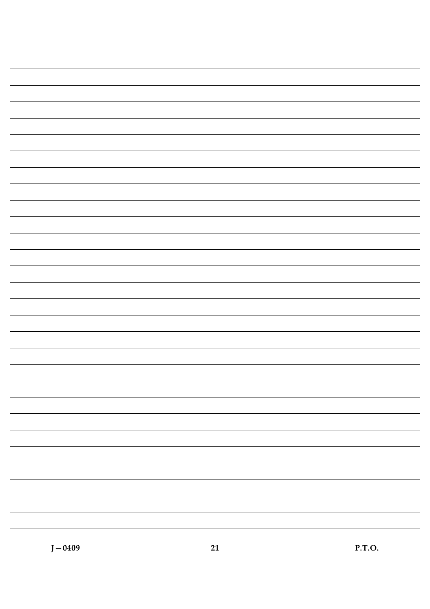L.  $\overline{\phantom{a}}$  $\overline{a}$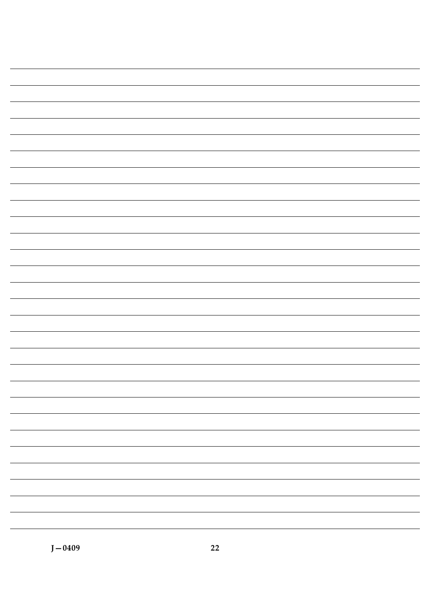L.  $\overline{\phantom{0}}$  $\overline{a}$ J. J. L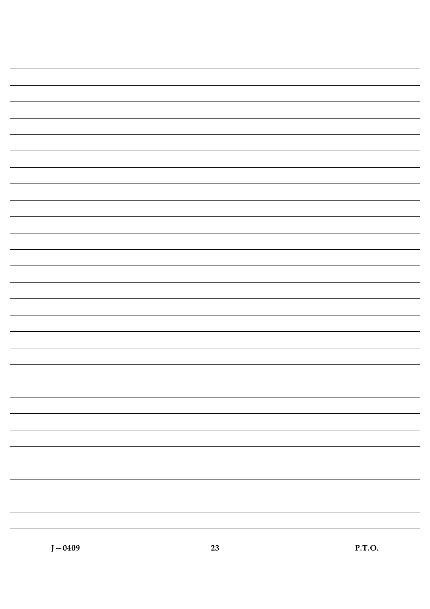L.  $\overline{a}$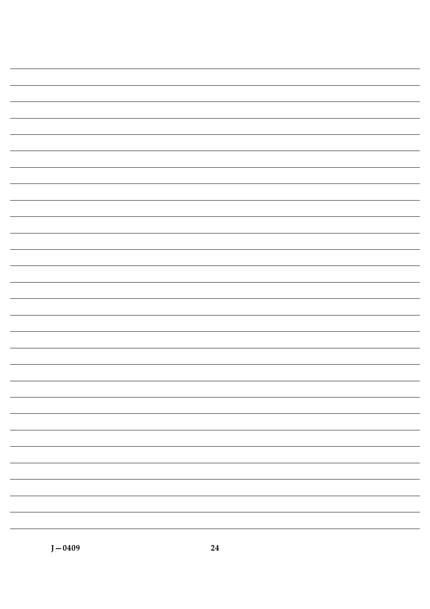L. L  $\overline{a}$ J. J. L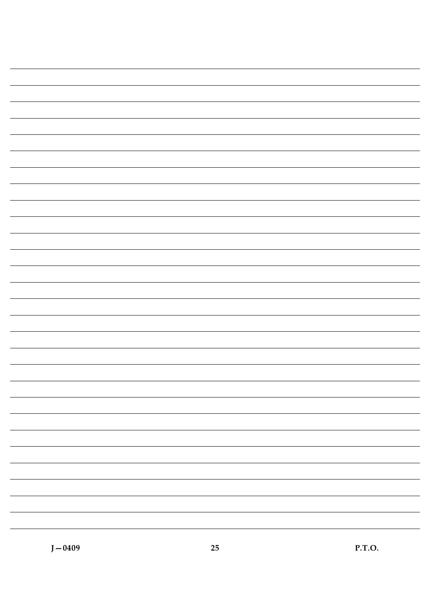L.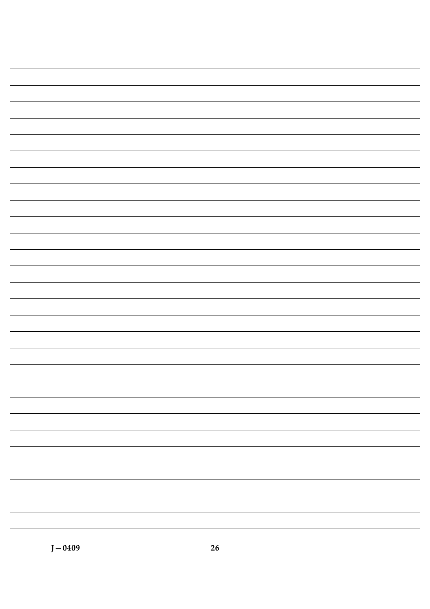$\overline{a}$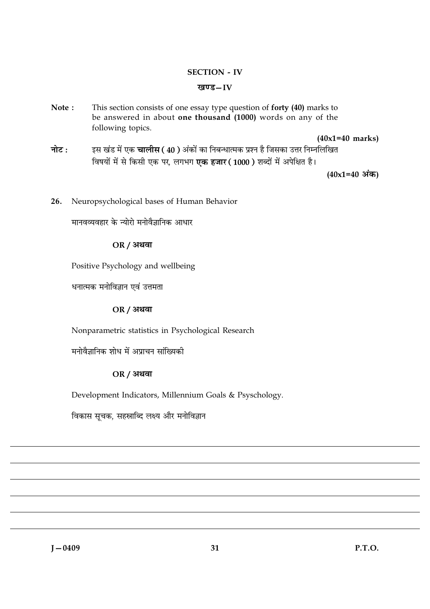## **SECTION - IV**

## खण्ड $-IV$

Note: This section consists of one essay type question of forty (40) marks to be answered in about one thousand (1000) words on any of the following topics.

 $(40x1=40 \text{ marks})$ 

नोट : इस खंड में एक **चालीस ( 40 )** अंकों का निबन्धात्मक प्रश्न है जिसका उत्तर निम्नलिखित विषयों में से किसी एक पर, लगभग **एक हजार ( 1000 )** शब्दों में अपेक्षित है।

 $(40x1=40$  अंक)

26. Neuropsychological bases of Human Behavior

मानवव्यवहार के न्योरो मनोवैज्ञानिक आधार

# **OR / अथवा**

Positive Psychology and wellbeing

धनात्मक मनोविज्ञान एवं उत्तमता

# **OR / अथवा**

Nonparametric statistics in Psychological Research

मनोवैज्ञानिक शोध में अप्राचन सांख्यिकी

# **OR / अथवा**

Development Indicators, Millennium Goals & Psyschology.

विकास सूचक, सहस्राब्दि लक्ष्य और मनोविज्ञान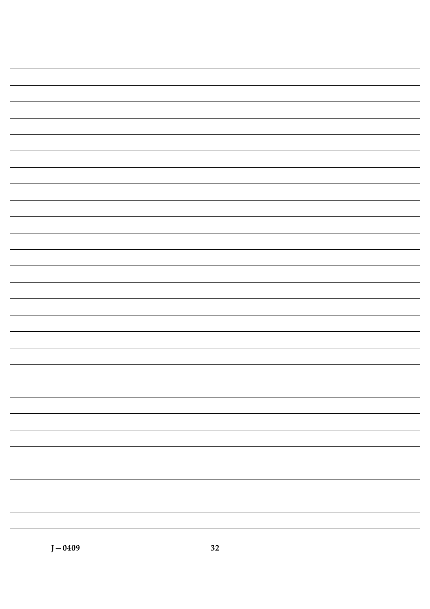L.  $\overline{\phantom{a}}$  $\overline{a}$